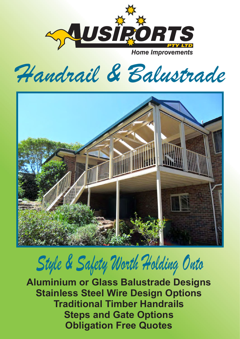

*Handrail & Balustrade*



# *Style & Safety Worth Holding Onto*

**Aluminium or Glass Balustrade Designs Steps and Gate Options Stainless Steel Wire Design Options Traditional Timber Handrails Obligation Free Quotes**